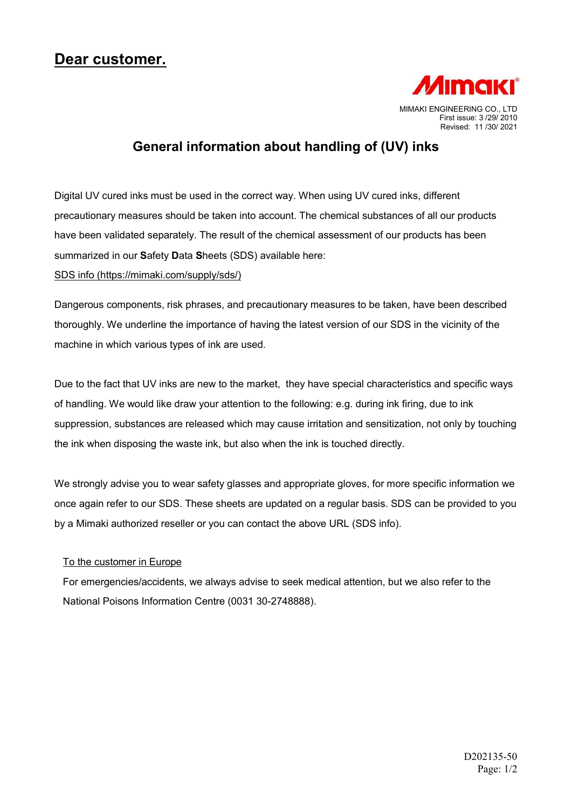## Dear customer.



## General information about handling of (UV) inks

Digital UV cured inks must be used in the correct way. When using UV cured inks, different precautionary measures should be taken into account. The chemical substances of all our products have been validated separately. The result of the chemical assessment of our products has been summarized in our Safety Data Sheets (SDS) available here:

SDS info (https://mimaki.com/supply/sds/)

Dangerous components, risk phrases, and precautionary measures to be taken, have been described thoroughly. We underline the importance of having the latest version of our SDS in the vicinity of the machine in which various types of ink are used.

Due to the fact that UV inks are new to the market, they have special characteristics and specific ways of handling. We would like draw your attention to the following: e.g. during ink firing, due to ink suppression, substances are released which may cause irritation and sensitization, not only by touching the ink when disposing the waste ink, but also when the ink is touched directly.

We strongly advise you to wear safety glasses and appropriate gloves, for more specific information we once again refer to our SDS. These sheets are updated on a regular basis. SDS can be provided to you by a Mimaki authorized reseller or you can contact the above URL (SDS info).

## To the customer in Europe

For emergencies/accidents, we always advise to seek medical attention, but we also refer to the National Poisons Information Centre (0031 30-2748888).